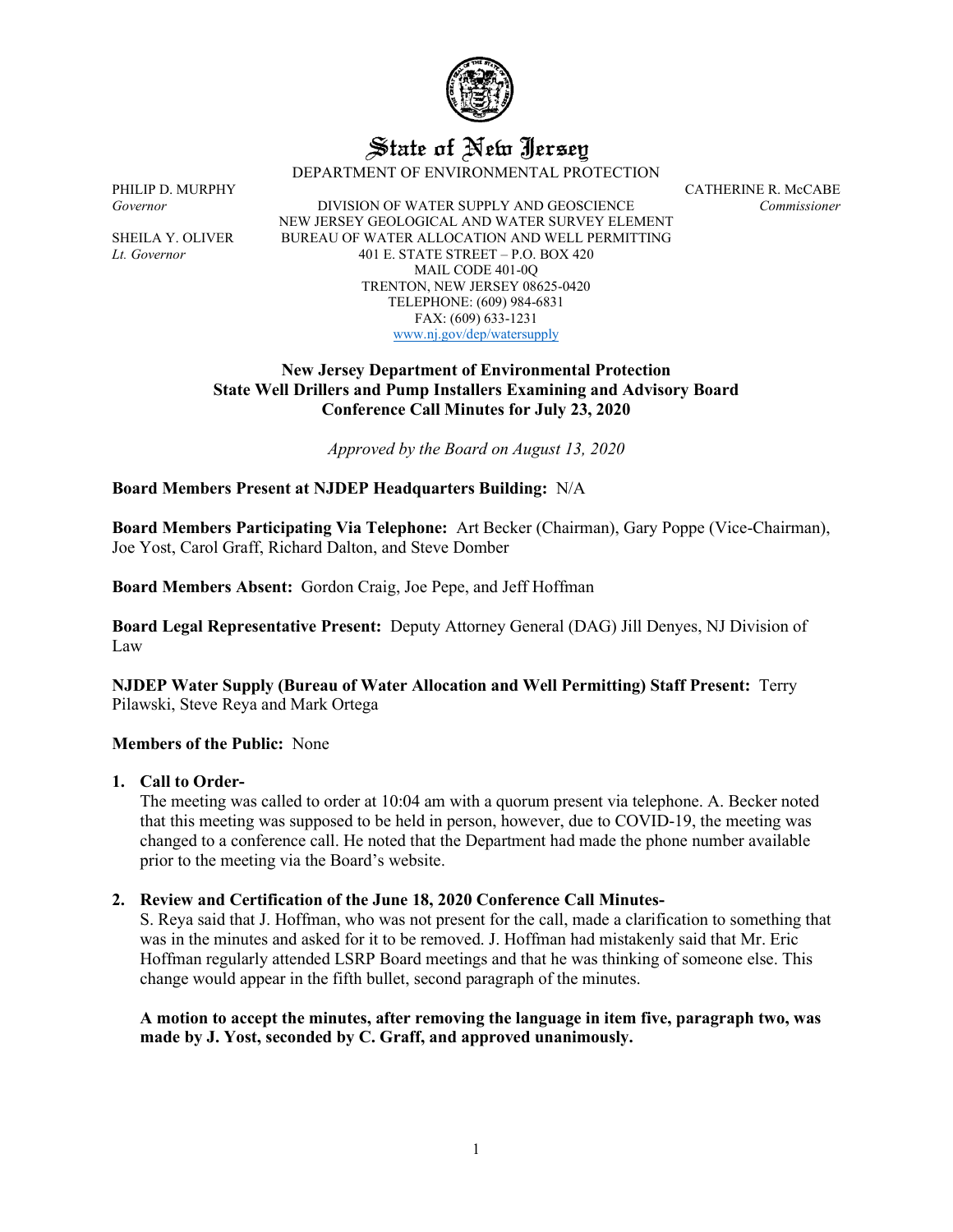

# State of New Jersey

DEPARTMENT OF ENVIRONMENTAL PROTECTION

PHILIP D. MURPHY CATHERINE R. McCABE *Governor* DIVISION OF WATER SUPPLY AND GEOSCIENCE *Commissioner* NEW JERSEY GEOLOGICAL AND WATER SURVEY ELEMENT SHEILA Y. OLIVER BUREAU OF WATER ALLOCATION AND WELL PERMITTING *Lt. Governor* 401 E. STATE STREET – P.O. BOX 420 MAIL CODE 401-0Q TRENTON, NEW JERSEY 08625-0420 TELEPHONE: (609) 984-6831 FAX: (609) 633-1231 [www.nj.gov/dep/watersupply](http://www.nj.gov/dep/watersupply)

## **New Jersey Department of Environmental Protection State Well Drillers and Pump Installers Examining and Advisory Board Conference Call Minutes for July 23, 2020**

*Approved by the Board on August 13, 2020*

## **Board Members Present at NJDEP Headquarters Building:** N/A

**Board Members Participating Via Telephone:** Art Becker (Chairman), Gary Poppe (Vice-Chairman), Joe Yost, Carol Graff, Richard Dalton, and Steve Domber

**Board Members Absent:** Gordon Craig, Joe Pepe, and Jeff Hoffman

**Board Legal Representative Present:** Deputy Attorney General (DAG) Jill Denyes, NJ Division of Law

**NJDEP Water Supply (Bureau of Water Allocation and Well Permitting) Staff Present:** Terry Pilawski, Steve Reya and Mark Ortega

## **Members of the Public:** None

#### **1. Call to Order-**

The meeting was called to order at 10:04 am with a quorum present via telephone. A. Becker noted that this meeting was supposed to be held in person, however, due to COVID-19, the meeting was changed to a conference call. He noted that the Department had made the phone number available prior to the meeting via the Board's website.

## **2. Review and Certification of the June 18, 2020 Conference Call Minutes-**

S. Reya said that J. Hoffman, who was not present for the call, made a clarification to something that was in the minutes and asked for it to be removed. J. Hoffman had mistakenly said that Mr. Eric Hoffman regularly attended LSRP Board meetings and that he was thinking of someone else. This change would appear in the fifth bullet, second paragraph of the minutes.

**A motion to accept the minutes, after removing the language in item five, paragraph two, was made by J. Yost, seconded by C. Graff, and approved unanimously.**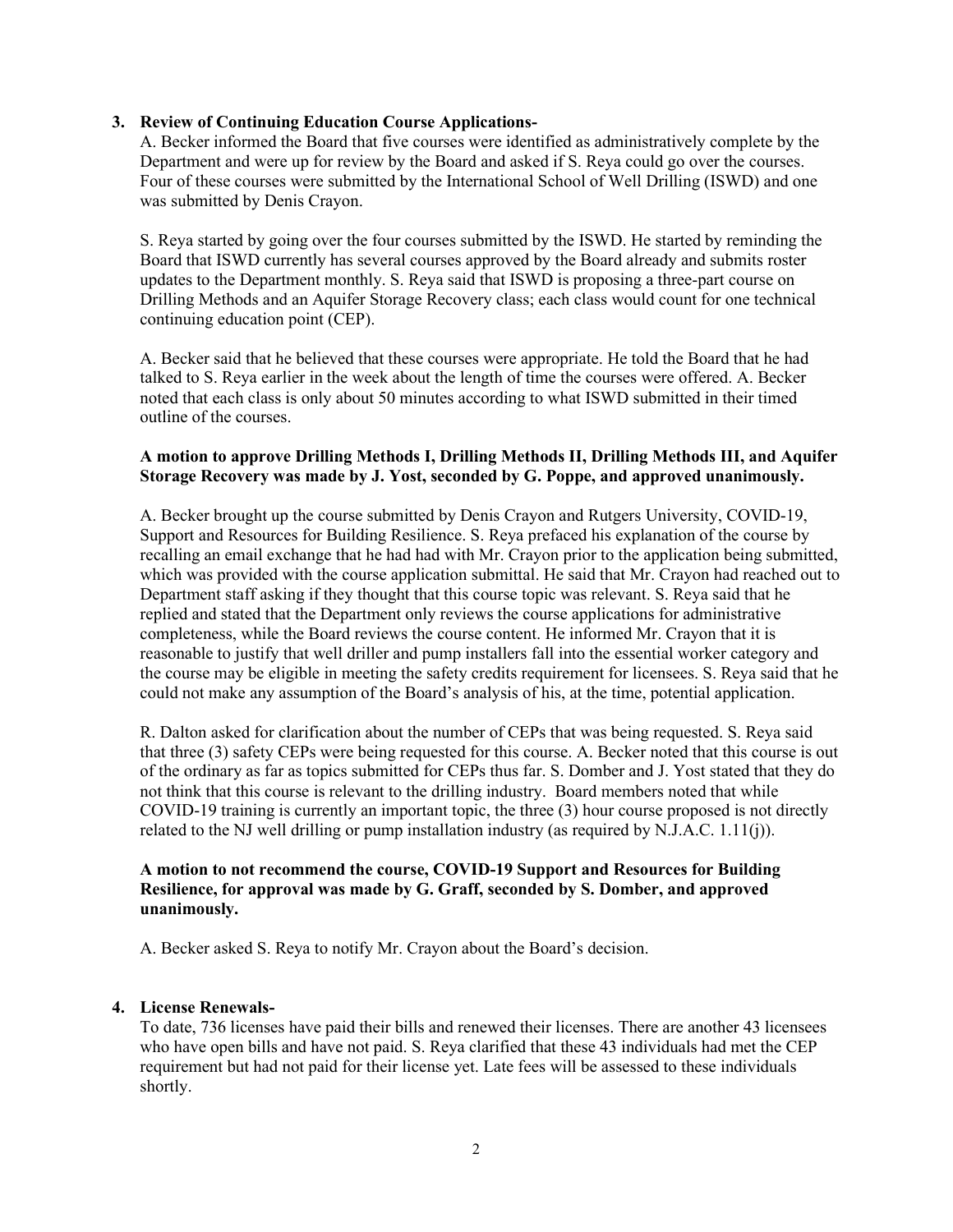## **3. Review of Continuing Education Course Applications-**

A. Becker informed the Board that five courses were identified as administratively complete by the Department and were up for review by the Board and asked if S. Reya could go over the courses. Four of these courses were submitted by the International School of Well Drilling (ISWD) and one was submitted by Denis Crayon.

S. Reya started by going over the four courses submitted by the ISWD. He started by reminding the Board that ISWD currently has several courses approved by the Board already and submits roster updates to the Department monthly. S. Reya said that ISWD is proposing a three-part course on Drilling Methods and an Aquifer Storage Recovery class; each class would count for one technical continuing education point (CEP).

A. Becker said that he believed that these courses were appropriate. He told the Board that he had talked to S. Reya earlier in the week about the length of time the courses were offered. A. Becker noted that each class is only about 50 minutes according to what ISWD submitted in their timed outline of the courses.

## **A motion to approve Drilling Methods I, Drilling Methods II, Drilling Methods III, and Aquifer Storage Recovery was made by J. Yost, seconded by G. Poppe, and approved unanimously.**

A. Becker brought up the course submitted by Denis Crayon and Rutgers University, COVID-19, Support and Resources for Building Resilience. S. Reya prefaced his explanation of the course by recalling an email exchange that he had had with Mr. Crayon prior to the application being submitted, which was provided with the course application submittal. He said that Mr. Crayon had reached out to Department staff asking if they thought that this course topic was relevant. S. Reya said that he replied and stated that the Department only reviews the course applications for administrative completeness, while the Board reviews the course content. He informed Mr. Crayon that it is reasonable to justify that well driller and pump installers fall into the essential worker category and the course may be eligible in meeting the safety credits requirement for licensees. S. Reya said that he could not make any assumption of the Board's analysis of his, at the time, potential application.

R. Dalton asked for clarification about the number of CEPs that was being requested. S. Reya said that three (3) safety CEPs were being requested for this course. A. Becker noted that this course is out of the ordinary as far as topics submitted for CEPs thus far. S. Domber and J. Yost stated that they do not think that this course is relevant to the drilling industry. Board members noted that while COVID-19 training is currently an important topic, the three (3) hour course proposed is not directly related to the NJ well drilling or pump installation industry (as required by N.J.A.C.  $1.11(i)$ ).

## **A motion to not recommend the course, COVID-19 Support and Resources for Building Resilience, for approval was made by G. Graff, seconded by S. Domber, and approved unanimously.**

A. Becker asked S. Reya to notify Mr. Crayon about the Board's decision.

## **4. License Renewals-**

To date, 736 licenses have paid their bills and renewed their licenses. There are another 43 licensees who have open bills and have not paid. S. Reya clarified that these 43 individuals had met the CEP requirement but had not paid for their license yet. Late fees will be assessed to these individuals shortly.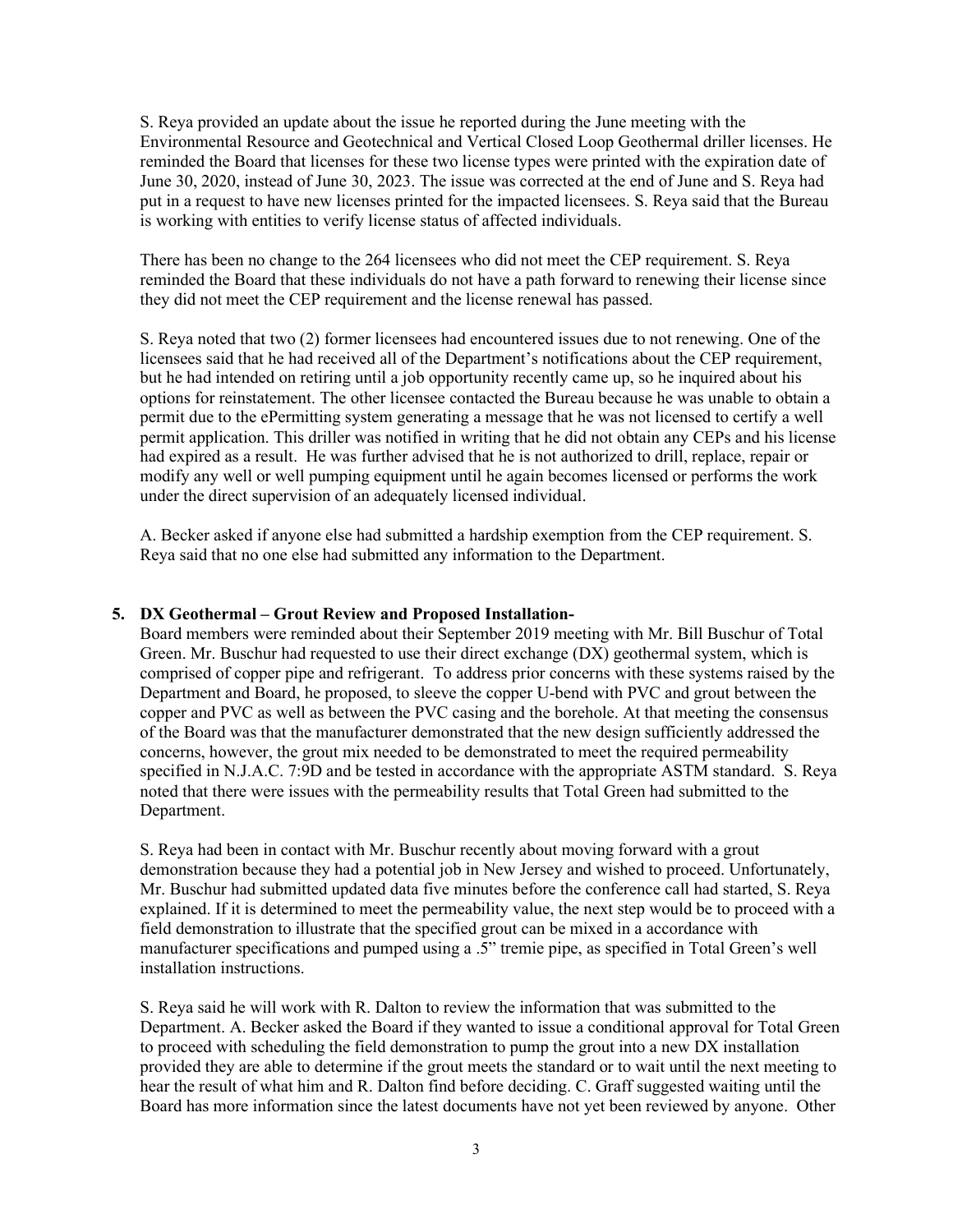S. Reya provided an update about the issue he reported during the June meeting with the Environmental Resource and Geotechnical and Vertical Closed Loop Geothermal driller licenses. He reminded the Board that licenses for these two license types were printed with the expiration date of June 30, 2020, instead of June 30, 2023. The issue was corrected at the end of June and S. Reya had put in a request to have new licenses printed for the impacted licensees. S. Reya said that the Bureau is working with entities to verify license status of affected individuals.

There has been no change to the 264 licensees who did not meet the CEP requirement. S. Reya reminded the Board that these individuals do not have a path forward to renewing their license since they did not meet the CEP requirement and the license renewal has passed.

S. Reya noted that two (2) former licensees had encountered issues due to not renewing. One of the licensees said that he had received all of the Department's notifications about the CEP requirement, but he had intended on retiring until a job opportunity recently came up, so he inquired about his options for reinstatement. The other licensee contacted the Bureau because he was unable to obtain a permit due to the ePermitting system generating a message that he was not licensed to certify a well permit application. This driller was notified in writing that he did not obtain any CEPs and his license had expired as a result. He was further advised that he is not authorized to drill, replace, repair or modify any well or well pumping equipment until he again becomes licensed or performs the work under the direct supervision of an adequately licensed individual.

A. Becker asked if anyone else had submitted a hardship exemption from the CEP requirement. S. Reya said that no one else had submitted any information to the Department.

#### **5. DX Geothermal – Grout Review and Proposed Installation-**

Board members were reminded about their September 2019 meeting with Mr. Bill Buschur of Total Green. Mr. Buschur had requested to use their direct exchange (DX) geothermal system, which is comprised of copper pipe and refrigerant. To address prior concerns with these systems raised by the Department and Board, he proposed, to sleeve the copper U-bend with PVC and grout between the copper and PVC as well as between the PVC casing and the borehole. At that meeting the consensus of the Board was that the manufacturer demonstrated that the new design sufficiently addressed the concerns, however, the grout mix needed to be demonstrated to meet the required permeability specified in N.J.A.C. 7:9D and be tested in accordance with the appropriate ASTM standard. S. Reya noted that there were issues with the permeability results that Total Green had submitted to the Department.

S. Reya had been in contact with Mr. Buschur recently about moving forward with a grout demonstration because they had a potential job in New Jersey and wished to proceed. Unfortunately, Mr. Buschur had submitted updated data five minutes before the conference call had started, S. Reya explained. If it is determined to meet the permeability value, the next step would be to proceed with a field demonstration to illustrate that the specified grout can be mixed in a accordance with manufacturer specifications and pumped using a .5" tremie pipe, as specified in Total Green's well installation instructions.

S. Reya said he will work with R. Dalton to review the information that was submitted to the Department. A. Becker asked the Board if they wanted to issue a conditional approval for Total Green to proceed with scheduling the field demonstration to pump the grout into a new DX installation provided they are able to determine if the grout meets the standard or to wait until the next meeting to hear the result of what him and R. Dalton find before deciding. C. Graff suggested waiting until the Board has more information since the latest documents have not yet been reviewed by anyone. Other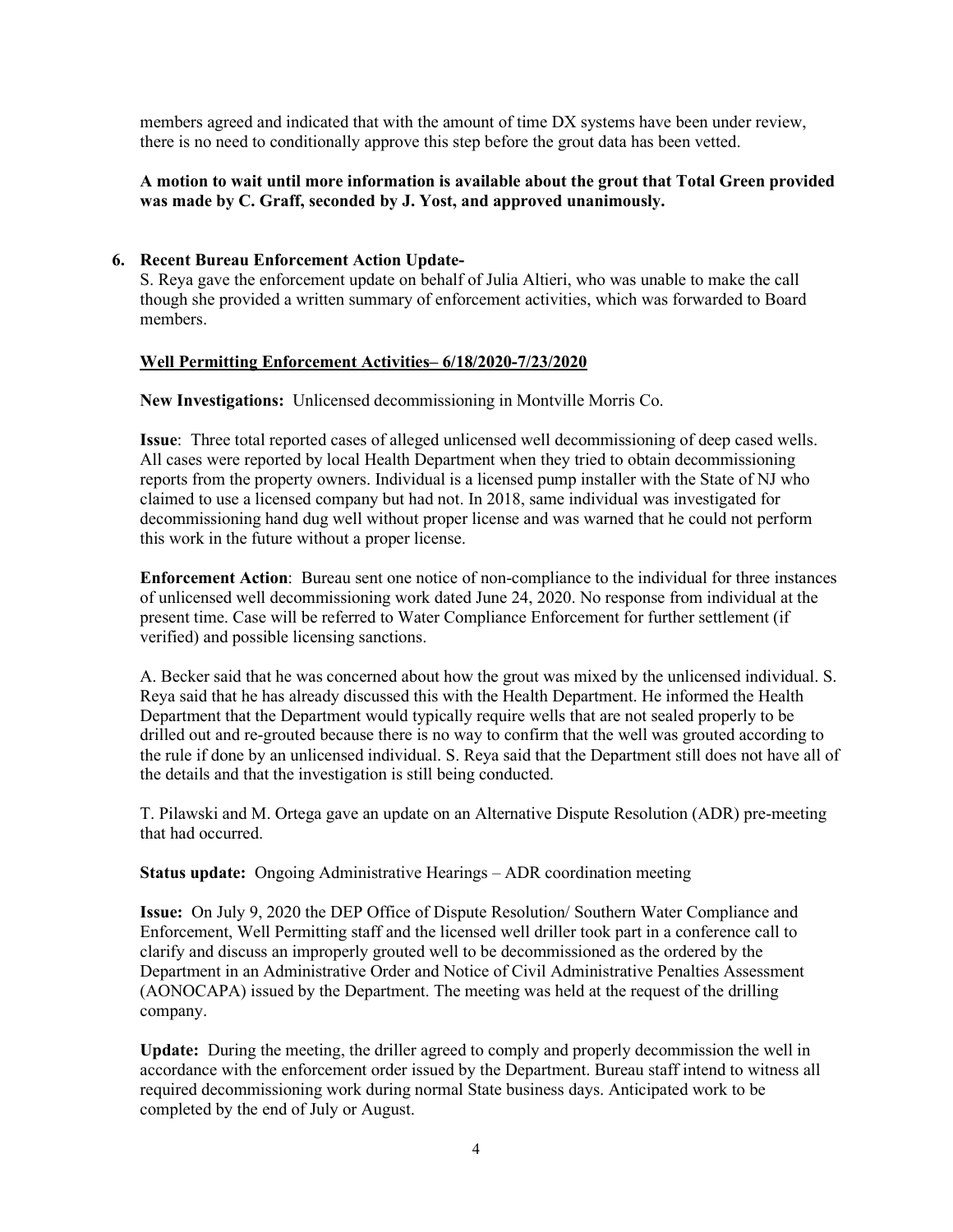members agreed and indicated that with the amount of time DX systems have been under review, there is no need to conditionally approve this step before the grout data has been vetted.

## **A motion to wait until more information is available about the grout that Total Green provided was made by C. Graff, seconded by J. Yost, and approved unanimously.**

#### **6. Recent Bureau Enforcement Action Update-**

S. Reya gave the enforcement update on behalf of Julia Altieri, who was unable to make the call though she provided a written summary of enforcement activities, which was forwarded to Board members.

### **Well Permitting Enforcement Activities– 6/18/2020-7/23/2020**

**New Investigations:** Unlicensed decommissioning in Montville Morris Co.

**Issue**: Three total reported cases of alleged unlicensed well decommissioning of deep cased wells. All cases were reported by local Health Department when they tried to obtain decommissioning reports from the property owners. Individual is a licensed pump installer with the State of NJ who claimed to use a licensed company but had not. In 2018, same individual was investigated for decommissioning hand dug well without proper license and was warned that he could not perform this work in the future without a proper license.

**Enforcement Action**: Bureau sent one notice of non-compliance to the individual for three instances of unlicensed well decommissioning work dated June 24, 2020. No response from individual at the present time. Case will be referred to Water Compliance Enforcement for further settlement (if verified) and possible licensing sanctions.

A. Becker said that he was concerned about how the grout was mixed by the unlicensed individual. S. Reya said that he has already discussed this with the Health Department. He informed the Health Department that the Department would typically require wells that are not sealed properly to be drilled out and re-grouted because there is no way to confirm that the well was grouted according to the rule if done by an unlicensed individual. S. Reya said that the Department still does not have all of the details and that the investigation is still being conducted.

T. Pilawski and M. Ortega gave an update on an Alternative Dispute Resolution (ADR) pre-meeting that had occurred.

**Status update:** Ongoing Administrative Hearings – ADR coordination meeting

**Issue:** On July 9, 2020 the DEP Office of Dispute Resolution/ Southern Water Compliance and Enforcement, Well Permitting staff and the licensed well driller took part in a conference call to clarify and discuss an improperly grouted well to be decommissioned as the ordered by the Department in an Administrative Order and Notice of Civil Administrative Penalties Assessment (AONOCAPA) issued by the Department. The meeting was held at the request of the drilling company.

**Update:** During the meeting, the driller agreed to comply and properly decommission the well in accordance with the enforcement order issued by the Department. Bureau staff intend to witness all required decommissioning work during normal State business days. Anticipated work to be completed by the end of July or August.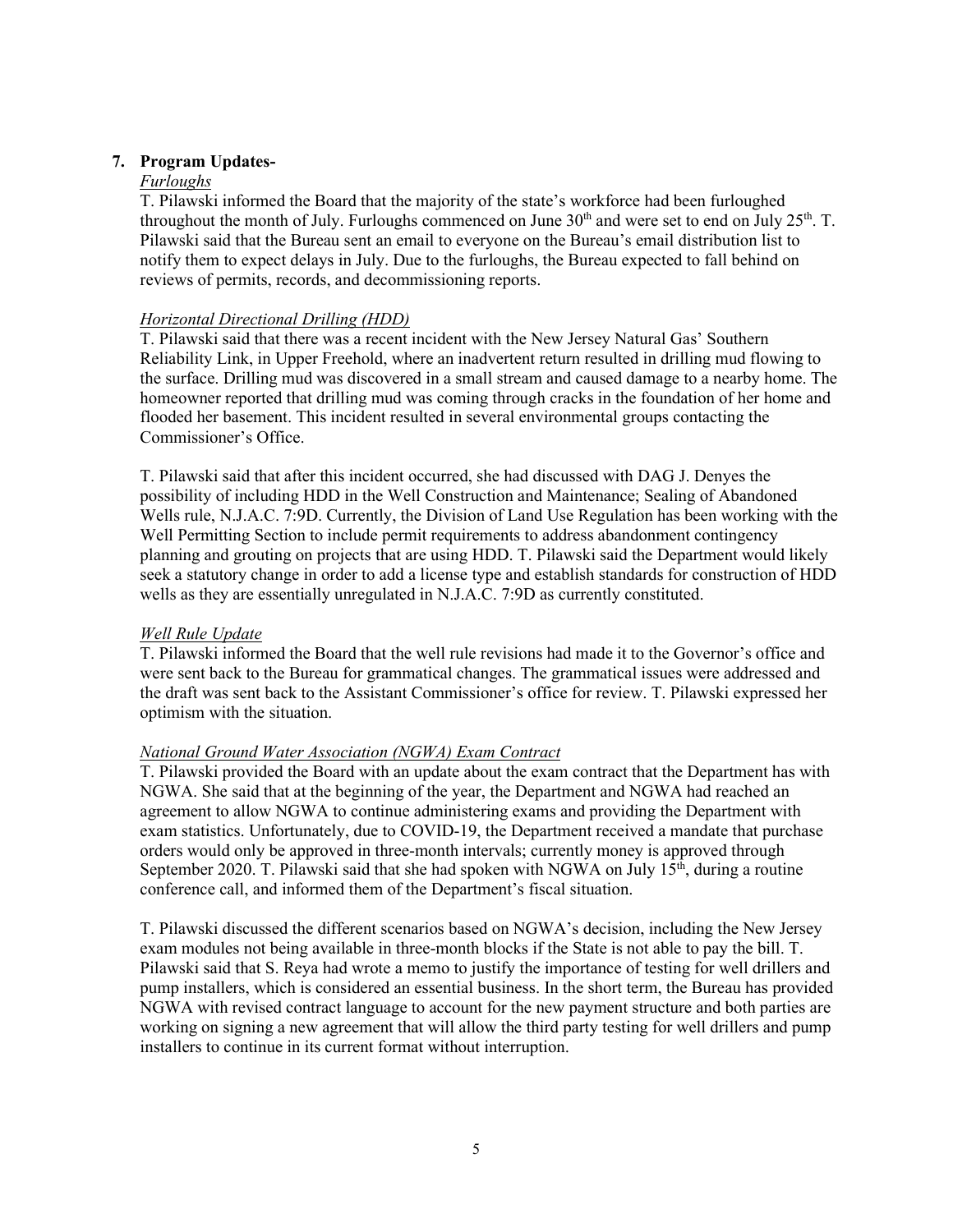## **7. Program Updates-**

### *Furloughs*

T. Pilawski informed the Board that the majority of the state's workforce had been furloughed throughout the month of July. Furloughs commenced on June  $30<sup>th</sup>$  and were set to end on July  $25<sup>th</sup>$ . T. Pilawski said that the Bureau sent an email to everyone on the Bureau's email distribution list to notify them to expect delays in July. Due to the furloughs, the Bureau expected to fall behind on reviews of permits, records, and decommissioning reports.

## *Horizontal Directional Drilling (HDD)*

T. Pilawski said that there was a recent incident with the New Jersey Natural Gas' Southern Reliability Link, in Upper Freehold, where an inadvertent return resulted in drilling mud flowing to the surface. Drilling mud was discovered in a small stream and caused damage to a nearby home. The homeowner reported that drilling mud was coming through cracks in the foundation of her home and flooded her basement. This incident resulted in several environmental groups contacting the Commissioner's Office.

T. Pilawski said that after this incident occurred, she had discussed with DAG J. Denyes the possibility of including HDD in the Well Construction and Maintenance; Sealing of Abandoned Wells rule, N.J.A.C. 7:9D. Currently, the Division of Land Use Regulation has been working with the Well Permitting Section to include permit requirements to address abandonment contingency planning and grouting on projects that are using HDD. T. Pilawski said the Department would likely seek a statutory change in order to add a license type and establish standards for construction of HDD wells as they are essentially unregulated in N.J.A.C. 7:9D as currently constituted.

## *Well Rule Update*

T. Pilawski informed the Board that the well rule revisions had made it to the Governor's office and were sent back to the Bureau for grammatical changes. The grammatical issues were addressed and the draft was sent back to the Assistant Commissioner's office for review. T. Pilawski expressed her optimism with the situation.

## *National Ground Water Association (NGWA) Exam Contract*

T. Pilawski provided the Board with an update about the exam contract that the Department has with NGWA. She said that at the beginning of the year, the Department and NGWA had reached an agreement to allow NGWA to continue administering exams and providing the Department with exam statistics. Unfortunately, due to COVID-19, the Department received a mandate that purchase orders would only be approved in three-month intervals; currently money is approved through September 2020. T. Pilawski said that she had spoken with NGWA on July  $15<sup>th</sup>$ , during a routine conference call, and informed them of the Department's fiscal situation.

T. Pilawski discussed the different scenarios based on NGWA's decision, including the New Jersey exam modules not being available in three-month blocks if the State is not able to pay the bill. T. Pilawski said that S. Reya had wrote a memo to justify the importance of testing for well drillers and pump installers, which is considered an essential business. In the short term, the Bureau has provided NGWA with revised contract language to account for the new payment structure and both parties are working on signing a new agreement that will allow the third party testing for well drillers and pump installers to continue in its current format without interruption.